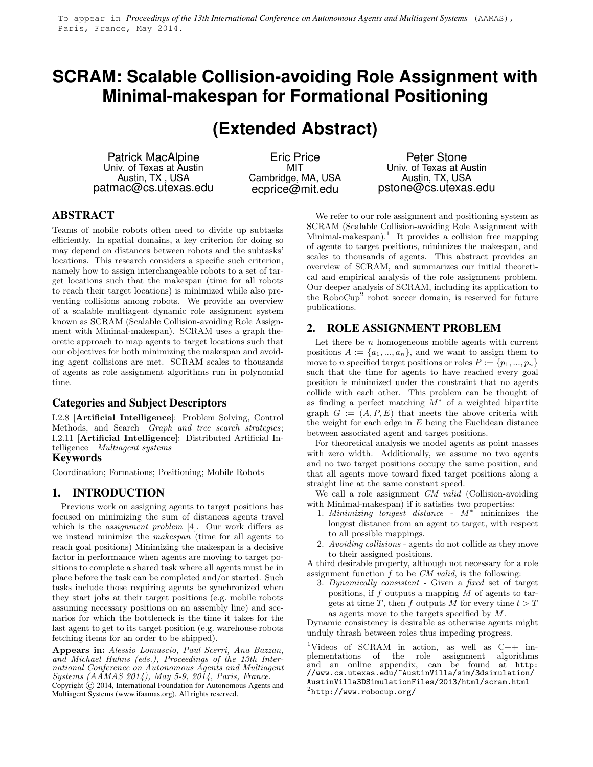## **SCRAM: Scalable Collision-avoiding Role Assignment with Minimal-makespan for Formational Positioning**

# **(Extended Abstract)**

Patrick MacAlpine Univ. of Texas at Austin Austin, TX , USA patmac@cs.utexas.edu

Eric Price MIT Cambridge, MA, USA ecprice@mit.edu

Peter Stone Univ. of Texas at Austin Austin, TX, USA pstone@cs.utexas.edu

### **ABSTRACT**

Teams of mobile robots often need to divide up subtasks efficiently. In spatial domains, a key criterion for doing so may depend on distances between robots and the subtasks' locations. This research considers a specific such criterion, namely how to assign interchangeable robots to a set of target locations such that the makespan (time for all robots to reach their target locations) is minimized while also preventing collisions among robots. We provide an overview of a scalable multiagent dynamic role assignment system known as SCRAM (Scalable Collision-avoiding Role Assignment with Minimal-makespan). SCRAM uses a graph theoretic approach to map agents to target locations such that our objectives for both minimizing the makespan and avoiding agent collisions are met. SCRAM scales to thousands of agents as role assignment algorithms run in polynomial time.

#### **Categories and Subject Descriptors**

I.2.8 [Artificial Intelligence]: Problem Solving, Control Methods, and Search—*Graph and tree search strategies*; I.2.11 [Artificial Intelligence]: Distributed Artificial Intelligence—*Multiagent systems*

### **Keywords**

Coordination; Formations; Positioning; Mobile Robots

#### **1. INTRODUCTION**

Previous work on assigning agents to target positions has focused on minimizing the sum of distances agents travel which is the *assignment problem* [4]. Our work differs as we instead minimize the *makespan* (time for all agents to reach goal positions) Minimizing the makespan is a decisive factor in performance when agents are moving to target positions to complete a shared task where all agents must be in place before the task can be completed and/or started. Such tasks include those requiring agents be synchronized when they start jobs at their target positions (e.g. mobile robots assuming necessary positions on an assembly line) and scenarios for which the bottleneck is the time it takes for the last agent to get to its target position (e.g. warehouse robots fetching items for an order to be shipped).

Appears in: *Alessio Lomuscio, Paul Scerri, Ana Bazzan, and Michael Huhns (eds.), Proceedings of the 13th International Conference on Autonomous Agents and Multiagent Systems (AAMAS 2014), May 5-9, 2014, Paris, France.* Copyright (c) 2014, International Foundation for Autonomous Agents and Multiagent Systems (www.ifaamas.org). All rights reserved.

We refer to our role assignment and positioning system as SCRAM (Scalable Collision-avoiding Role Assignment with Minimal-makespan).<sup>1</sup> It provides a collision free mapping of agents to target positions, minimizes the makespan, and scales to thousands of agents. This abstract provides an overview of SCRAM, and summarizes our initial theoretical and empirical analysis of the role assignment problem. Our deeper analysis of SCRAM, including its application to the RoboCup<sup>2</sup> robot soccer domain, is reserved for future publications.

#### **2. ROLE ASSIGNMENT PROBLEM**

Let there be  $n$  homogeneous mobile agents with current positions  $A := \{a_1, ..., a_n\}$ , and we want to assign them to move to n specified target positions or roles  $P := \{p_1, ..., p_n\}$ such that the time for agents to have reached every goal position is minimized under the constraint that no agents collide with each other. This problem can be thought of as finding a perfect matching  $\overline{M}^*$  of a weighted bipartite graph  $G := (A, P, E)$  that meets the above criteria with the weight for each edge in  $E$  being the Euclidean distance between associated agent and target positions.

For theoretical analysis we model agents as point masses with zero width. Additionally, we assume no two agents and no two target positions occupy the same position, and that all agents move toward fixed target positions along a straight line at the same constant speed.

We call a role assignment *CM valid* (Collision-avoiding with Minimal-makespan) if it satisfies two properties:

- 1. *Minimizing longest distance* M<sup>∗</sup> minimizes the longest distance from an agent to target, with respect to all possible mappings.
- 2. *Avoiding collisions* agents do not collide as they move to their assigned positions.

A third desirable property, although not necessary for a role assignment function f to be *CM valid*, is the following:

3. *Dynamically consistent* - Given a *fixed* set of target positions, if  $f$  outputs a mapping  $M$  of agents to targets at time T, then f outputs M for every time  $t > T$ as agents move to the targets specified by M.

Dynamic consistency is desirable as otherwise agents might unduly thrash between roles thus impeding progress.

<sup>1</sup>Videos of SCRAM in action, as well as C++ implementations of the role assignment algorithms and an online appendix, can be found at http: //www.cs.utexas.edu/~AustinVilla/sim/3dsimulation/ AustinVilla3DSimulationFiles/2013/html/scram.html  $^{2}$ http://www.robocup.org/